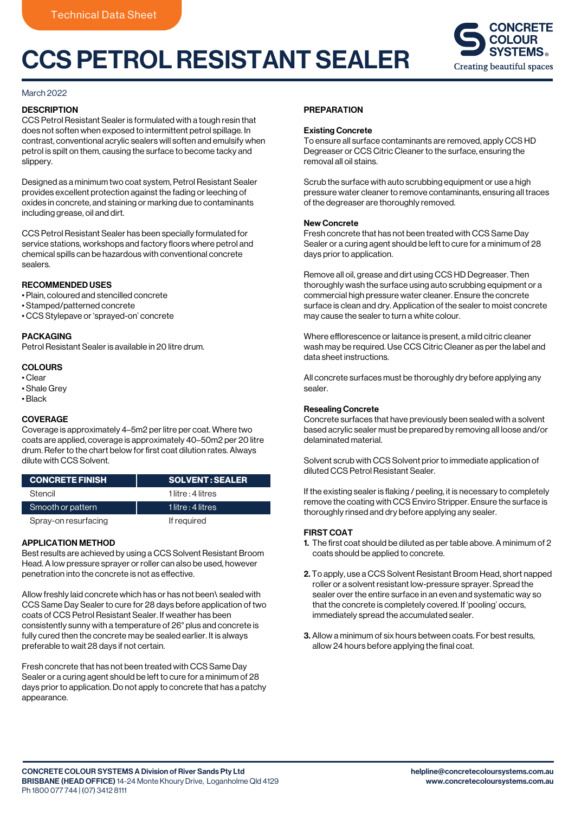# CCS PETROL RESISTANT SEALER



## March 2022

## **DESCRIPTION**

CCS Petrol Resistant Sealer is formulated with a tough resin that does not soften when exposed to intermittent petrol spillage. In contrast, conventional acrylic sealers will soften and emulsify when petrol is spilt on them, causing the surface to become tacky and slippery.

Designed as a minimum two coat system, Petrol Resistant Sealer provides excellent protection against the fading or leeching of oxides in concrete, and staining or marking due to contaminants including grease, oil and dirt.

CCS Petrol Resistant Sealer has been specially formulated for service stations, workshops and factory floors where petrol and chemical spills can be hazardous with conventional concrete sealers.

## RECOMMENDED USES

- Plain, coloured and stencilled concrete
- Stamped/patterned concrete
- CCS Stylepave or 'sprayed-on' concrete

## PACKAGING

Petrol Resistant Sealer is available in 20 litre drum.

## COLOURS

- Clear
- Shale Grey
- Black

# **COVERAGE**

Coverage is approximately 4–5m2 per litre per coat. Where two coats are applied, coverage is approximately 40–50m2 per 20 litre drum. Refer to the chart below for first coat dilution rates. Always dilute with CCS Solvent.

| <b>CONCRETE FINISH</b> | <b>SOLVENT: SEALER</b> |
|------------------------|------------------------|
| Stencil                | 1 litre : 4 litres     |
| Smooth or pattern      | 1 litre : 4 litres     |
| Spray-on resurfacing   | If required            |

# APPLICATION METHOD

Best results are achieved by using a CCS Solvent Resistant Broom Head. A low pressure sprayer or roller can also be used, however penetration into the concrete is not as effective.

Allow freshly laid concrete which has or has not been\ sealed with CCS Same Day Sealer to cure for 28 days before application of two coats of CCS Petrol Resistant Sealer. If weather has been consistently sunny with a temperature of 26° plus and concrete is fully cured then the concrete may be sealed earlier. It is always preferable to wait 28 days if not certain.

Fresh concrete that has not been treated with CCS Same Day Sealer or a curing agent should be left to cure for a minimum of 28 days prior to application. Do not apply to concrete that has a patchy appearance.

### **PREPARATION**

#### Existing Concrete

To ensure all surface contaminants are removed, apply CCS HD Degreaser or CCS Citric Cleaner to the surface, ensuring the removal all oil stains.

Scrub the surface with auto scrubbing equipment or use a high pressure water cleaner to remove contaminants, ensuring all traces of the degreaser are thoroughly removed.

## New Concrete

Fresh concrete that has not been treated with CCS Same Day Sealer or a curing agent should be left to cure for a minimum of 28 days prior to application.

Remove all oil, grease and dirt using CCS HD Degreaser. Then thoroughly wash the surface using auto scrubbing equipment or a commercial high pressure water cleaner. Ensure the concrete surface is clean and dry. Application of the sealer to moist concrete may cause the sealer to turn a white colour.

Where efflorescence or laitance is present, a mild citric cleaner wash may be required. Use CCS Citric Cleaner as per the label and data sheet instructions.

All concrete surfaces must be thoroughly dry before applying any sealer.

## Resealing Concrete

Concrete surfaces that have previously been sealed with a solvent based acrylic sealer must be prepared by removing all loose and/or delaminated material.

Solvent scrub with CCS Solvent prior to immediate application of diluted CCS Petrol Resistant Sealer.

If the existing sealer is flaking / peeling, it is necessary to completely remove the coating with CCS Enviro Stripper. Ensure the surface is thoroughly rinsed and dry before applying any sealer.

# FIRST COAT

- 1. The first coat should be diluted as per table above. A minimum of 2 coats should be applied to concrete.
- 2. To apply, use a CCS Solvent Resistant Broom Head, short napped roller or a solvent resistant low-pressure sprayer. Spread the sealer over the entire surface in an even and systematic way so that the concrete is completely covered. If 'pooling' occurs, immediately spread the accumulated sealer.
- 3. Allow a minimum of six hours between coats. For best results, allow 24 hours before applying the final coat.